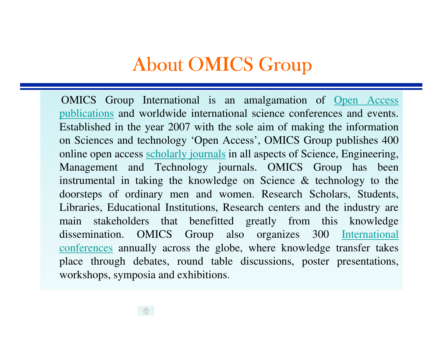### About OMICS Group

OMICS Group International is an amalgamation of <u>Open Access</u> publications and worldwide international science conferences and events. Established in the year 2007 with the sole aim of making the information on Sciences and technology 'Open Access', OMICS Group publishes 400online open access scholarly journals in all aspects of Science, Engineering, Management and Technology journals. OMICS Group has been instrumental in taking the knowledge on Science & technology to the doorsteps of ordinary men and women. Research Scholars, Students, Libraries, Educational Institutions, Research centers and the industry are main stakeholders that benefitted greatly from this knowledgedissemination. OMICS Group also organizes 300 International conferences annually across the <sup>g</sup>lobe, where knowledge transfer takes place through debates, round table discussions, poster presentations, workshops, symposia and exhibitions.

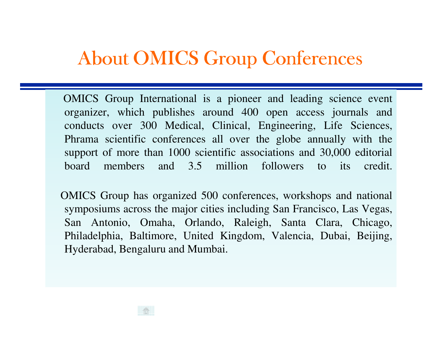#### About OMICS Group Conferences

OMICS Group International is <sup>a</sup> pioneer and leading science eventorganizer, which publishes around 400 open access journals and conducts over 300 Medical, Clinical, Engineering, Life Sciences, Phrama scientific conferences all over the globe annually with thesuppor<sup>t</sup> of more than 1000 scientific associations and 30,000 editorialboard members and 3.5 million followers to its credit.

OMICS Group has organized 500 conferences, workshops and nationalsymposiums across the major cities including San Francisco, Las Vegas, San Antonio, Omaha, Orlando, Raleigh, Santa Clara, Chicago, Philadelphia, Baltimore, United Kingdom, Valencia, Dubai, Beijing, Hyderabad, Bengaluru and Mumbai.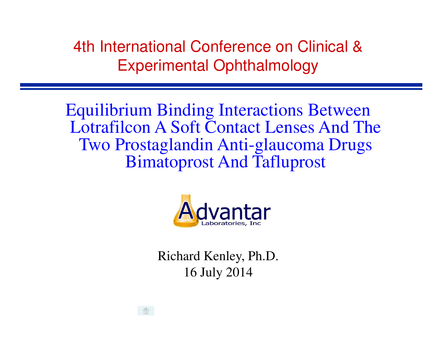4th International Conference on Clinical & Experimental Ophthalmology

Equilibrium Binding Interactions Between Lotrafilcon A Soft Contact Lenses And The Two Prostaglandin Anti-glaucoma Drugs Bimatoprost And Tafluprost



Richard Kenley, Ph.D.16 July 2014

 $\frac{1}{2}$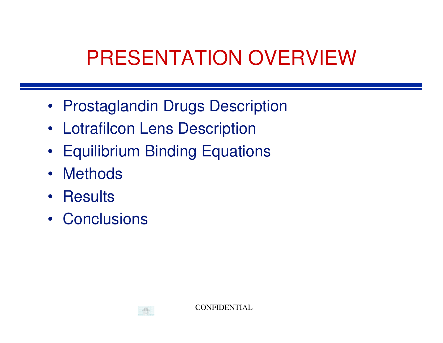## PRESENTATION OVERVIEW

- Prostaglandin Drugs Description
- Lotrafilcon Lens Description
- Equilibrium Binding Equations
- Methods
- Results
- Conclusions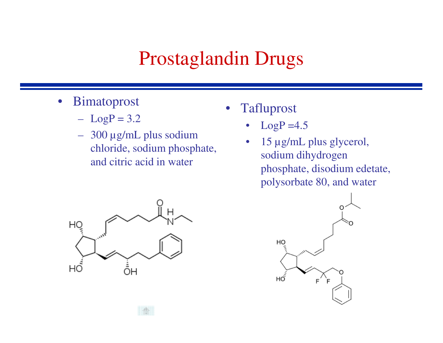### Prostaglandin Drugs

- • Bimatoprost
	- $LogP = 3.2$
	- 300 µg/mL plus sodium chloride, sodium phosphate, and citric acid in water



- • Tafluprost
	- • $LogP = 4.5$
	- • 15 µg/mL plus glycerol, sodium dihydrogen phosphate, disodium edetate, polysorbate 80, and water

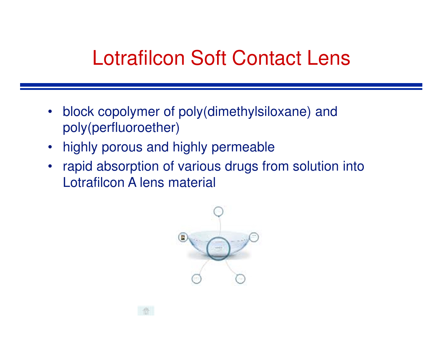### Lotrafilcon Soft Contact Lens

- $\bullet$  block copolymer of poly(dimethylsiloxane) and poly(perfluoroether)
- highly porous and highly permeable
- $\bullet$  rapid absorption of various drugs from solution into Lotrafilcon A lens material

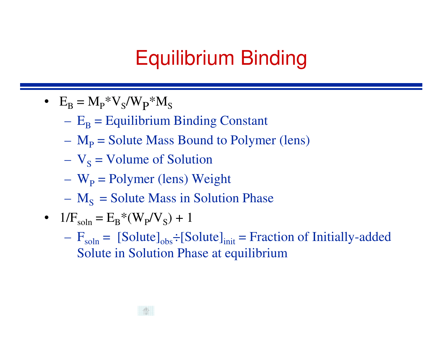## Equilibrium Binding

- $\bullet$   $\quad$   $\mathrm{E}_{\mathrm{B}}$  $_{\rm B}$  = M<sub>p</sub>\*V<sub>S</sub>/W<sub>p</sub>\*M<sub>S</sub>
	- $-$  F  $-$  Fouilibrii  $E_{\rm B}$  $_{\rm B}$  = Equilibrium Binding Constant
	- $\mathcal{L}_{\mathcal{A}}$  $\mathbf{M_{P}}$  $_{\rm P}$  = Solute Mass Bound to Polymer (lens)
	- – $\mathbf{V}_{\mathbf{S}}$  $_{\rm S}$  = Volume of Solution
	- – $W_{\text{p}}$  $_{\rm P}$  = Polymer (lens) Weight
	- – $M<sub>S</sub>$  = Solute Mass in Solution Phase
- $1/F_{\text{soln}} = E_{\text{B}} * (W_{\text{P}}/V_{\text{S}}) + 1$ 
	- $\blacksquare$  $\mathcal{L}_{\mathcal{A}}$  $F_{soln} =$  [Solute]<sub>obs</sub>: [Solute]<sub>init</sub> = Fraction of Initially-added Solute in Solution Phase at equilibrium

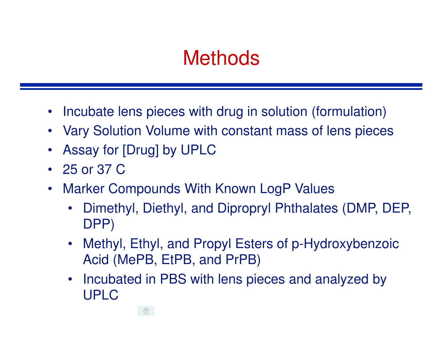### **Methods**

- •Incubate lens pieces with drug in solution (formulation)
- Vary Solution Volume with constant mass of lens pieces
- $\bullet$ Assay for [Drug] by UPLC
- 25 or 37 C
- Marker Compounds With Known LogP Values $\bullet$ 
	- • Dimethyl, Diethyl, and Dipropryl Phthalates (DMP, DEP, DPP)
	- Methyl, Ethyl, and Propyl Esters of p-Hydroxybenzoic Acid (MePB, EtPB, and PrPB)
	- • Incubated in PBS with lens pieces and analyzed by UPLC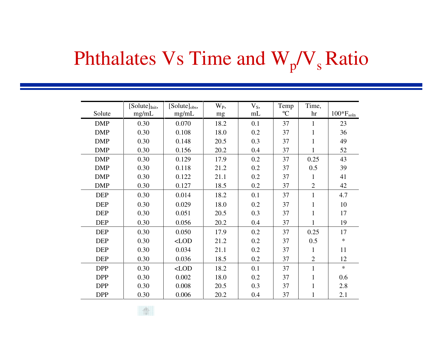# Phthalates  $Vs$  Time and  $W_p/V_s$  Ratio

|            | [Solution] | [Solute] <sub>obs</sub> , | W <sub>P</sub> , | $V_S$ , | Temp        | Time,          |                |
|------------|------------|---------------------------|------------------|---------|-------------|----------------|----------------|
| Solute     | mg/mL      | mg/mL                     | mg               | mL      | $\rm ^{o}C$ | hr             | $100*F_{soln}$ |
| <b>DMP</b> | 0.30       | 0.070                     | 18.2             | 0.1     | 37          | $\mathbf{1}$   | 23             |
| <b>DMP</b> | 0.30       | 0.108                     | 18.0             | 0.2     | 37          | $\mathbf{1}$   | 36             |
| <b>DMP</b> | 0.30       | 0.148                     | 20.5             | 0.3     | 37          | $\mathbf{1}$   | 49             |
| <b>DMP</b> | 0.30       | 0.156                     | 20.2             | 0.4     | 37          | $\mathbf{1}$   | 52             |
| <b>DMP</b> | 0.30       | 0.129                     | 17.9             | 0.2     | 37          | 0.25           | 43             |
| <b>DMP</b> | 0.30       | 0.118                     | 21.2             | 0.2     | 37          | 0.5            | 39             |
| <b>DMP</b> | 0.30       | 0.122                     | 21.1             | 0.2     | 37          | $\mathbf{1}$   | 41             |
| <b>DMP</b> | 0.30       | 0.127                     | 18.5             | 0.2     | 37          | $\overline{2}$ | 42             |
| <b>DEP</b> | 0.30       | 0.014                     | 18.2             | 0.1     | 37          | $\mathbf{1}$   | 4.7            |
| <b>DEP</b> | 0.30       | 0.029                     | 18.0             | 0.2     | 37          | 1              | 10             |
| <b>DEP</b> | 0.30       | 0.051                     | 20.5             | 0.3     | 37          | $\mathbf{1}$   | 17             |
| <b>DEP</b> | 0.30       | 0.056                     | 20.2             | 0.4     | 37          | $\mathbf{1}$   | 19             |
| <b>DEP</b> | 0.30       | 0.050                     | 17.9             | 0.2     | 37          | 0.25           | 17             |
| <b>DEP</b> | 0.30       | $<$ LOD                   | 21.2             | 0.2     | 37          | 0.5            | $\ast$         |
| <b>DEP</b> | 0.30       | 0.034                     | 21.1             | 0.2     | 37          | $\mathbf{1}$   | 11             |
| <b>DEP</b> | 0.30       | 0.036                     | 18.5             | 0.2     | 37          | $\overline{2}$ | 12             |
| <b>DPP</b> | 0.30       | $\langle$ LOD             | 18.2             | 0.1     | 37          | $\mathbf{1}$   | $\ast$         |
| <b>DPP</b> | 0.30       | 0.002                     | 18.0             | 0.2     | 37          | 1              | 0.6            |
| <b>DPP</b> | 0.30       | 0.008                     | 20.5             | 0.3     | 37          | 1              | 2.8            |
| <b>DPP</b> | 0.30       | 0.006                     | 20.2             | 0.4     | 37          | 1              | 2.1            |

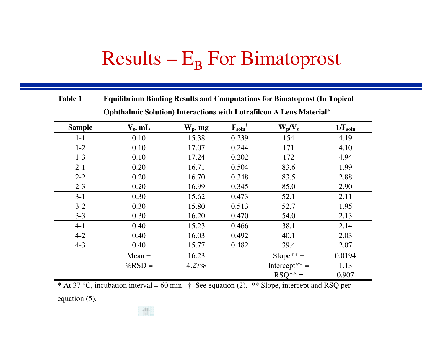# $Results - E_B$  For Bimatoprost

| <b>Table 1</b> | <b>Equilibrium Binding Results and Computations for Bimatoprost (In Topical</b> |            |                                      |                           |                     |  |  |
|----------------|---------------------------------------------------------------------------------|------------|--------------------------------------|---------------------------|---------------------|--|--|
|                | Ophthalmic Solution) Interactions with Lotrafilcon A Lens Material*             |            |                                      |                           |                     |  |  |
| <b>Sample</b>  | $V_s$ , mL                                                                      | $W_p$ , mg | $\mathbf{F}_{\text{soln}}^{\dagger}$ | $W_p/V_s$                 | $1/F_{\text{soln}}$ |  |  |
| $1-1$          | 0.10                                                                            | 15.38      | 0.239                                | 154                       | 4.19                |  |  |
| $1 - 2$        | 0.10                                                                            | 17.07      | 0.244                                | 171                       | 4.10                |  |  |
| $1 - 3$        | 0.10                                                                            | 17.24      | 0.202                                | 172                       | 4.94                |  |  |
| $2 - 1$        | 0.20                                                                            | 16.71      | 0.504                                | 83.6                      | 1.99                |  |  |
| $2 - 2$        | 0.20                                                                            | 16.70      | 0.348                                | 83.5                      | 2.88                |  |  |
| $2 - 3$        | 0.20                                                                            | 16.99      | 0.345                                | 85.0                      | 2.90                |  |  |
| $3 - 1$        | 0.30                                                                            | 15.62      | 0.473                                | 52.1                      | 2.11                |  |  |
| $3 - 2$        | 0.30                                                                            | 15.80      | 0.513                                | 52.7                      | 1.95                |  |  |
| $3 - 3$        | 0.30                                                                            | 16.20      | 0.470                                | 54.0                      | 2.13                |  |  |
| $4 - 1$        | 0.40                                                                            | 15.23      | 0.466                                | 38.1                      | 2.14                |  |  |
| $4 - 2$        | 0.40                                                                            | 16.03      | 0.492                                | 40.1                      | 2.03                |  |  |
| $4 - 3$        | 0.40                                                                            | 15.77      | 0.482                                | 39.4                      | 2.07                |  |  |
|                | $Mean =$                                                                        | 16.23      |                                      | $Slope** =$               | 0.0194              |  |  |
|                | $%$ RSD =                                                                       | $4.27\%$   |                                      | Intercept <sup>**</sup> = | 1.13                |  |  |
|                |                                                                                 |            |                                      | $RSQ^{**} =$              | 0.907               |  |  |

\* At 37 °C, incubation interval = 60 min.  $\dagger$  See equation (2). \*\* Slope, intercept and RSQ per

equation (5).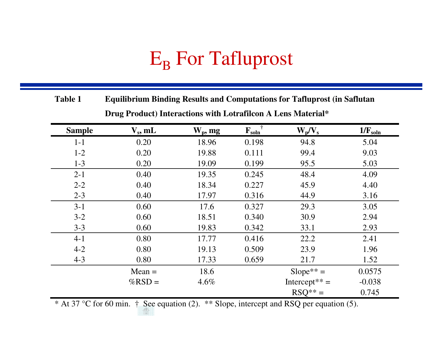# $\mathrm{E}_{\mathrm{B}}$  For Tafluprost

**Table 1 Equilibrium Binding Results and Computations for Tafluprost (in Saflutan Drug Product) Interactions with Lotrafilcon A Lens Material\*** 

| <b>Sample</b> | $V_s$ , mL | $W_p$ , mg | $\mathbf{F}_{\text{soln}}$ | $W_p/V_s$                 | $1/F_{\text{soln}}$ |
|---------------|------------|------------|----------------------------|---------------------------|---------------------|
| $1-1$         | 0.20       | 18.96      | 0.198                      | 94.8                      | 5.04                |
| $1 - 2$       | 0.20       | 19.88      | 0.111                      | 99.4                      | 9.03                |
| $1-3$         | 0.20       | 19.09      | 0.199                      | 95.5                      | 5.03                |
| $2 - 1$       | 0.40       | 19.35      | 0.245                      | 48.4                      | 4.09                |
| $2 - 2$       | 0.40       | 18.34      | 0.227                      | 45.9                      | 4.40                |
| $2 - 3$       | 0.40       | 17.97      | 0.316                      | 44.9                      | 3.16                |
| $3-1$         | 0.60       | 17.6       | 0.327                      | 29.3                      | 3.05                |
| $3-2$         | 0.60       | 18.51      | 0.340                      | 30.9                      | 2.94                |
| $3 - 3$       | 0.60       | 19.83      | 0.342                      | 33.1                      | 2.93                |
| $4 - 1$       | 0.80       | 17.77      | 0.416                      | 22.2                      | 2.41                |
| $4 - 2$       | 0.80       | 19.13      | 0.509                      | 23.9                      | 1.96                |
| $4 - 3$       | 0.80       | 17.33      | 0.659                      | 21.7                      | 1.52                |
|               | $Mean =$   | 18.6       |                            | $Slope** =$               | 0.0575              |
|               | $%$ RSD =  | 4.6%       |                            | Intercept <sup>**</sup> = | $-0.038$            |
|               |            |            |                            | $RSO^{**} =$              | 0.745               |

\* At 37 °C for 60 min. † See equation (2). \*\* Slope, intercept and RSQ per equation (5).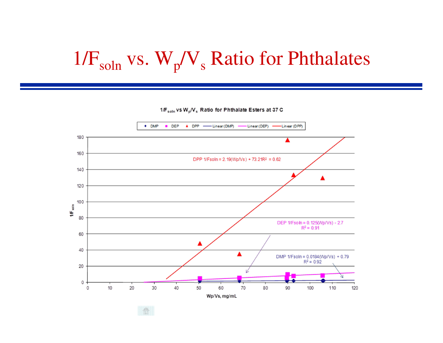# $1/F_{\text{soln}}$  vs.  $W_p/V_s$  Ratio for Phthalates

1/F<sub>soln</sub> vs W<sub>p</sub>/V<sub>s</sub> Ratio for Phthalate Esters at 37 C

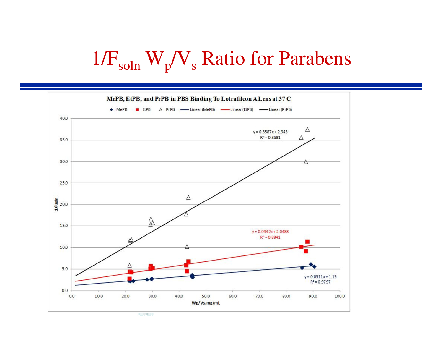# $1/F_{\text{soln}}$  W<sub>p</sub>/V<sub>s</sub> Ratio for Parabens

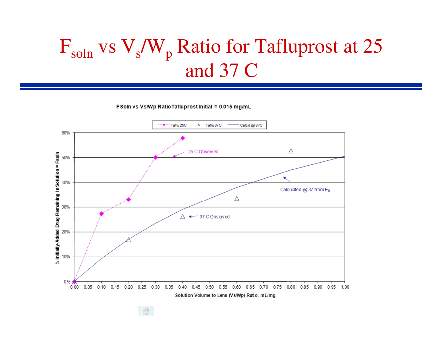### $F_{soln}$  vs  $V_s/W_p$  Ratio for Tafluprost at 25 and 37 C

FSoln vs Vs/Wp Ratio Tafluprost Initial = 0.015 mg/mL

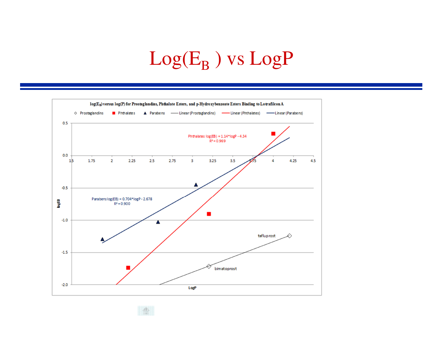# $\rm{Log}(E_B$  ) vs  $\rm{Log}P$



 $\sim$  affine .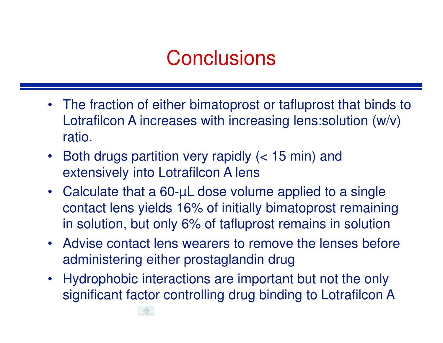### **Conclusions**

- The fraction of either bimatoprost or tafluprost that binds to Lotrafilcon A increases with increasing lens:solution (w/v) ratio.
- $\bullet$  Both drugs partition very rapidly (< 15 min) and extensively into Lotrafilcon A lens
- Calculate that a 60-µL dose volume applied to a single contact lens yields 16% of initially bimatoprost remainingin solution, but only 6% of tafluprost remains in solution
- Advise contact lens wearers to remove the lenses before administering either prostaglandin drug
- Hydrophobic interactions are important but not the only significant factor controlling drug binding to Lotrafilcon A